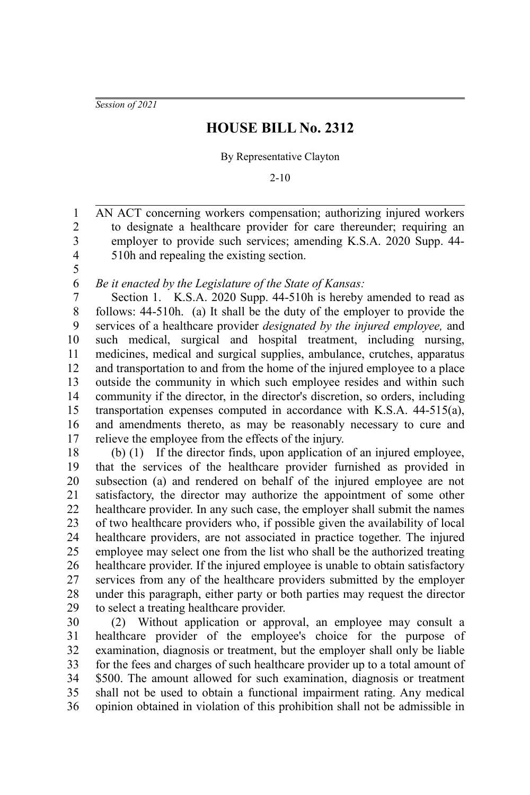*Session of 2021*

## **HOUSE BILL No. 2312**

By Representative Clayton

2-10

AN ACT concerning workers compensation; authorizing injured workers to designate a healthcare provider for care thereunder; requiring an employer to provide such services; amending K.S.A. 2020 Supp. 44- 510h and repealing the existing section. 1 2 3 4

5 6

*Be it enacted by the Legislature of the State of Kansas:*

Section 1. K.S.A. 2020 Supp. 44-510h is hereby amended to read as follows: 44-510h. (a) It shall be the duty of the employer to provide the services of a healthcare provider *designated by the injured employee,* and such medical, surgical and hospital treatment, including nursing, medicines, medical and surgical supplies, ambulance, crutches, apparatus and transportation to and from the home of the injured employee to a place outside the community in which such employee resides and within such community if the director, in the director's discretion, so orders, including transportation expenses computed in accordance with K.S.A. 44-515(a), and amendments thereto, as may be reasonably necessary to cure and relieve the employee from the effects of the injury. 7 8 9 10 11 12 13 14 15 16 17

(b) (1) If the director finds, upon application of an injured employee, that the services of the healthcare provider furnished as provided in subsection (a) and rendered on behalf of the injured employee are not satisfactory, the director may authorize the appointment of some other healthcare provider. In any such case, the employer shall submit the names of two healthcare providers who, if possible given the availability of local healthcare providers, are not associated in practice together. The injured employee may select one from the list who shall be the authorized treating healthcare provider. If the injured employee is unable to obtain satisfactory services from any of the healthcare providers submitted by the employer under this paragraph, either party or both parties may request the director to select a treating healthcare provider. 18 19 20 21 22 23 24 25 26 27 28 29

(2) Without application or approval, an employee may consult a healthcare provider of the employee's choice for the purpose of examination, diagnosis or treatment, but the employer shall only be liable for the fees and charges of such healthcare provider up to a total amount of \$500. The amount allowed for such examination, diagnosis or treatment shall not be used to obtain a functional impairment rating. Any medical opinion obtained in violation of this prohibition shall not be admissible in 30 31 32 33 34 35 36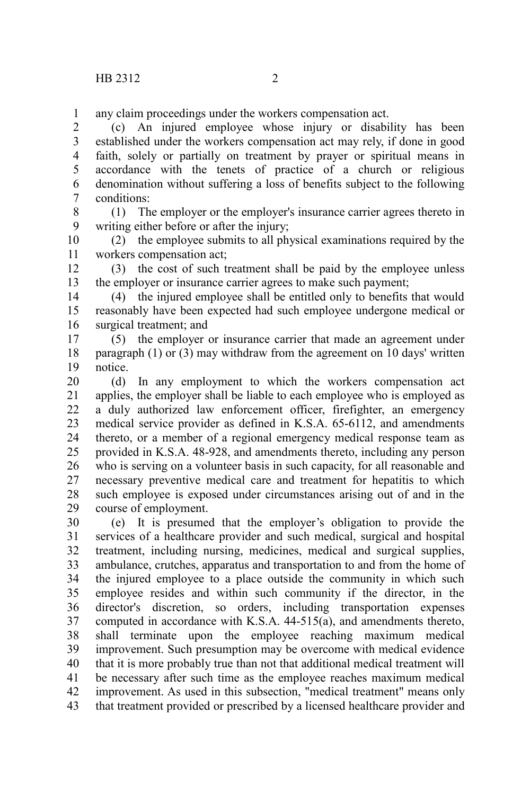any claim proceedings under the workers compensation act. 1

(c) An injured employee whose injury or disability has been established under the workers compensation act may rely, if done in good faith, solely or partially on treatment by prayer or spiritual means in accordance with the tenets of practice of a church or religious denomination without suffering a loss of benefits subject to the following conditions: 2 3 4 5 6 7

(1) The employer or the employer's insurance carrier agrees thereto in writing either before or after the injury; 8 9

(2) the employee submits to all physical examinations required by the workers compensation act; 10 11

(3) the cost of such treatment shall be paid by the employee unless the employer or insurance carrier agrees to make such payment; 12 13

(4) the injured employee shall be entitled only to benefits that would reasonably have been expected had such employee undergone medical or surgical treatment; and 14 15 16

(5) the employer or insurance carrier that made an agreement under paragraph (1) or (3) may withdraw from the agreement on 10 days' written notice. 17 18 19

(d) In any employment to which the workers compensation act applies, the employer shall be liable to each employee who is employed as a duly authorized law enforcement officer, firefighter, an emergency medical service provider as defined in K.S.A. 65-6112, and amendments thereto, or a member of a regional emergency medical response team as provided in K.S.A. 48-928, and amendments thereto, including any person who is serving on a volunteer basis in such capacity, for all reasonable and necessary preventive medical care and treatment for hepatitis to which such employee is exposed under circumstances arising out of and in the course of employment. 20 21 22 23 24 25 26 27 28 29

(e) It is presumed that the employer's obligation to provide the services of a healthcare provider and such medical, surgical and hospital treatment, including nursing, medicines, medical and surgical supplies, ambulance, crutches, apparatus and transportation to and from the home of the injured employee to a place outside the community in which such employee resides and within such community if the director, in the director's discretion, so orders, including transportation expenses computed in accordance with K.S.A. 44-515(a), and amendments thereto, shall terminate upon the employee reaching maximum medical improvement. Such presumption may be overcome with medical evidence that it is more probably true than not that additional medical treatment will be necessary after such time as the employee reaches maximum medical improvement. As used in this subsection, "medical treatment" means only that treatment provided or prescribed by a licensed healthcare provider and 30 31 32 33 34 35 36 37 38 39 40 41 42 43